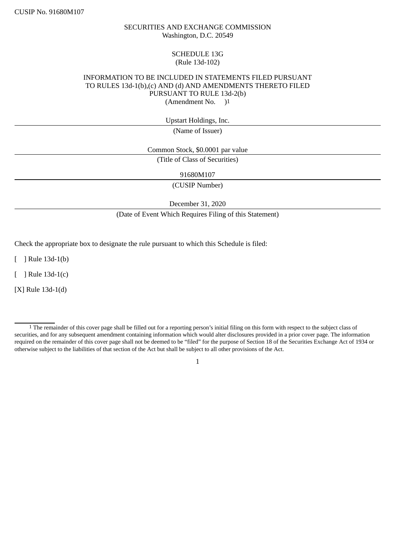### SECURITIES AND EXCHANGE COMMISSION Washington, D.C. 20549

### SCHEDULE 13G (Rule 13d-102)

### INFORMATION TO BE INCLUDED IN STATEMENTS FILED PURSUANT TO RULES 13d-1(b),(c) AND (d) AND AMENDMENTS THERETO FILED PURSUANT TO RULE 13d-2(b) (Amendment No. )1

Upstart Holdings, Inc.

(Name of Issuer)

Common Stock, \$0.0001 par value

(Title of Class of Securities)

91680M107

(CUSIP Number)

December 31, 2020

(Date of Event Which Requires Filing of this Statement)

Check the appropriate box to designate the rule pursuant to which this Schedule is filed:

[ ] Rule 13d-1(b)

[ ] Rule 13d-1(c)

[X] Rule 13d-1(d)

<sup>1</sup> The remainder of this cover page shall be filled out for a reporting person's initial filing on this form with respect to the subject class of securities, and for any subsequent amendment containing information which would alter disclosures provided in a prior cover page. The information required on the remainder of this cover page shall not be deemed to be "filed" for the purpose of Section 18 of the Securities Exchange Act of 1934 or otherwise subject to the liabilities of that section of the Act but shall be subject to all other provisions of the Act.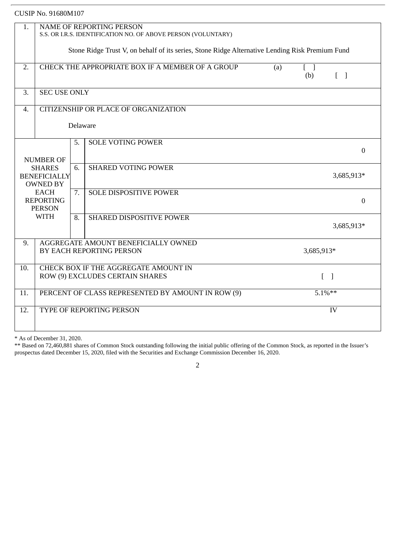| 1.               | NAME OF REPORTING PERSON                                                                        |          |                                      |  |     |                                   |  |
|------------------|-------------------------------------------------------------------------------------------------|----------|--------------------------------------|--|-----|-----------------------------------|--|
|                  | S.S. OR I.R.S. IDENTIFICATION NO. OF ABOVE PERSON (VOLUNTARY)                                   |          |                                      |  |     |                                   |  |
|                  | Stone Ridge Trust V, on behalf of its series, Stone Ridge Alternative Lending Risk Premium Fund |          |                                      |  |     |                                   |  |
|                  |                                                                                                 |          |                                      |  |     |                                   |  |
| 2.               | CHECK THE APPROPRIATE BOX IF A MEMBER OF A GROUP<br>(a)<br>$[\ ]$                               |          |                                      |  |     |                                   |  |
|                  |                                                                                                 |          |                                      |  | (b) | $\begin{bmatrix} 1 \end{bmatrix}$ |  |
|                  | <b>SEC USE ONLY</b>                                                                             |          |                                      |  |     |                                   |  |
| 3.               |                                                                                                 |          |                                      |  |     |                                   |  |
| $\overline{4}$ . |                                                                                                 |          | CITIZENSHIP OR PLACE OF ORGANIZATION |  |     |                                   |  |
|                  |                                                                                                 |          |                                      |  |     |                                   |  |
|                  |                                                                                                 | Delaware |                                      |  |     |                                   |  |
|                  |                                                                                                 | 5.       | <b>SOLE VOTING POWER</b>             |  |     |                                   |  |
|                  |                                                                                                 |          |                                      |  |     | $\overline{0}$                    |  |
| <b>NUMBER OF</b> |                                                                                                 |          |                                      |  |     |                                   |  |
| <b>SHARES</b>    |                                                                                                 | 6.       | <b>SHARED VOTING POWER</b>           |  |     |                                   |  |
|                  | <b>BENEFICIALLY</b><br><b>OWNED BY</b>                                                          |          |                                      |  |     | 3,685,913*                        |  |
|                  | <b>EACH</b>                                                                                     | 7.       | <b>SOLE DISPOSITIVE POWER</b>        |  |     |                                   |  |
|                  | <b>REPORTING</b>                                                                                |          |                                      |  |     | $\overline{0}$                    |  |
|                  | <b>PERSON</b>                                                                                   |          |                                      |  |     |                                   |  |
|                  | <b>WITH</b>                                                                                     | 8.       | <b>SHARED DISPOSITIVE POWER</b>      |  |     |                                   |  |
|                  |                                                                                                 |          |                                      |  |     | 3,685,913*                        |  |
| 9.               | AGGREGATE AMOUNT BENEFICIALLY OWNED                                                             |          |                                      |  |     |                                   |  |
|                  | BY EACH REPORTING PERSON<br>3,685,913*                                                          |          |                                      |  |     |                                   |  |
|                  |                                                                                                 |          |                                      |  |     |                                   |  |
| 10.              | CHECK BOX IF THE AGGREGATE AMOUNT IN                                                            |          |                                      |  |     |                                   |  |
|                  | $\begin{bmatrix} 1 \end{bmatrix}$<br>ROW (9) EXCLUDES CERTAIN SHARES                            |          |                                      |  |     |                                   |  |
| 11.              | $5.1\%***$<br>PERCENT OF CLASS REPRESENTED BY AMOUNT IN ROW (9)                                 |          |                                      |  |     |                                   |  |
|                  |                                                                                                 |          |                                      |  |     |                                   |  |
| 12.              | TYPE OF REPORTING PERSON<br>IV                                                                  |          |                                      |  |     |                                   |  |
|                  |                                                                                                 |          |                                      |  |     |                                   |  |

\* As of December 31, 2020.

\*\* Based on 72,460,881 shares of Common Stock outstanding following the initial public offering of the Common Stock, as reported in the Issuer's prospectus dated December 15, 2020, filed with the Securities and Exchange Commission December 16, 2020.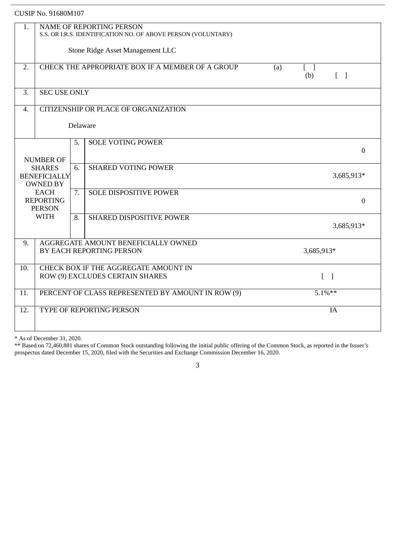| 1.                                                      | <b>NAME OF REPORTING PERSON</b>                                                                               |          |                                      |  |                  |  |  |
|---------------------------------------------------------|---------------------------------------------------------------------------------------------------------------|----------|--------------------------------------|--|------------------|--|--|
|                                                         | S.S. OR I.R.S. IDENTIFICATION NO. OF ABOVE PERSON (VOLUNTARY)                                                 |          |                                      |  |                  |  |  |
|                                                         | Stone Ridge Asset Management LLC                                                                              |          |                                      |  |                  |  |  |
| 2.                                                      | CHECK THE APPROPRIATE BOX IF A MEMBER OF A GROUP<br>(a)<br>$\Box$<br>$\begin{bmatrix} 1 \end{bmatrix}$<br>(b) |          |                                      |  |                  |  |  |
| 3.                                                      | <b>SEC USE ONLY</b>                                                                                           |          |                                      |  |                  |  |  |
| $\overline{4}$ .                                        |                                                                                                               |          | CITIZENSHIP OR PLACE OF ORGANIZATION |  |                  |  |  |
|                                                         |                                                                                                               | Delaware |                                      |  |                  |  |  |
| <b>SOLE VOTING POWER</b><br>5.<br><b>NUMBER OF</b>      |                                                                                                               |          |                                      |  | $\overline{0}$   |  |  |
| <b>SHARES</b><br><b>BENEFICIALLY</b><br><b>OWNED BY</b> |                                                                                                               | 6.       | <b>SHARED VOTING POWER</b>           |  | 3,685,913*       |  |  |
|                                                         | <b>EACH</b><br><b>REPORTING</b><br><b>PERSON</b>                                                              |          | <b>SOLE DISPOSITIVE POWER</b>        |  | $\boldsymbol{0}$ |  |  |
|                                                         | <b>WITH</b>                                                                                                   | 8.       | <b>SHARED DISPOSITIVE POWER</b>      |  | 3,685,913*       |  |  |
| 9.                                                      | AGGREGATE AMOUNT BENEFICIALLY OWNED<br>BY EACH REPORTING PERSON<br>3,685,913*                                 |          |                                      |  |                  |  |  |
| 10.                                                     | CHECK BOX IF THE AGGREGATE AMOUNT IN<br>ROW (9) EXCLUDES CERTAIN SHARES<br>$\lceil \; \rceil$                 |          |                                      |  |                  |  |  |
| 11.                                                     | $5.1\%***$<br>PERCENT OF CLASS REPRESENTED BY AMOUNT IN ROW (9)                                               |          |                                      |  |                  |  |  |
| 12.                                                     | TYPE OF REPORTING PERSON<br>IA                                                                                |          |                                      |  |                  |  |  |
|                                                         |                                                                                                               |          |                                      |  |                  |  |  |

\* As of December 31, 2020.

\*\* Based on 72,460,881 shares of Common Stock outstanding following the initial public offering of the Common Stock, as reported in the Issuer's prospectus dated December 15, 2020, filed with the Securities and Exchange Commission December 16, 2020.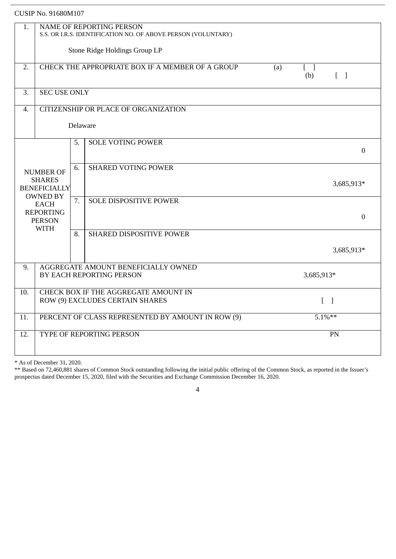| 1.                                                                  | <b>NAME OF REPORTING PERSON</b><br>S.S. OR I.R.S. IDENTIFICATION NO. OF ABOVE PERSON (VOLUNTARY)                          |    |                                      |  |                  |  |  |
|---------------------------------------------------------------------|---------------------------------------------------------------------------------------------------------------------------|----|--------------------------------------|--|------------------|--|--|
|                                                                     | Stone Ridge Holdings Group LP                                                                                             |    |                                      |  |                  |  |  |
| 2.                                                                  | CHECK THE APPROPRIATE BOX IF A MEMBER OF A GROUP<br>(a)<br>$\begin{bmatrix} 1 \end{bmatrix}$<br>$\lceil \; \rceil$<br>(b) |    |                                      |  |                  |  |  |
| 3.                                                                  | <b>SEC USE ONLY</b>                                                                                                       |    |                                      |  |                  |  |  |
| $\overline{4}$ .                                                    |                                                                                                                           |    | CITIZENSHIP OR PLACE OF ORGANIZATION |  |                  |  |  |
|                                                                     | Delaware                                                                                                                  |    |                                      |  |                  |  |  |
|                                                                     |                                                                                                                           | 5. | <b>SOLE VOTING POWER</b>             |  | $\Omega$         |  |  |
|                                                                     | <b>NUMBER OF</b>                                                                                                          | 6. | <b>SHARED VOTING POWER</b>           |  |                  |  |  |
|                                                                     | <b>SHARES</b><br><b>BENEFICIALLY</b>                                                                                      |    |                                      |  | 3,685,913*       |  |  |
| <b>OWNED BY</b><br><b>EACH</b><br><b>REPORTING</b><br><b>PERSON</b> |                                                                                                                           | 7. | <b>SOLE DISPOSITIVE POWER</b>        |  | $\boldsymbol{0}$ |  |  |
|                                                                     | <b>WITH</b>                                                                                                               | 8. | <b>SHARED DISPOSITIVE POWER</b>      |  |                  |  |  |
|                                                                     |                                                                                                                           |    |                                      |  | 3,685,913*       |  |  |
| 9.                                                                  | AGGREGATE AMOUNT BENEFICIALLY OWNED<br>BY EACH REPORTING PERSON<br>3,685,913*                                             |    |                                      |  |                  |  |  |
| 10.                                                                 | CHECK BOX IF THE AGGREGATE AMOUNT IN<br>ROW (9) EXCLUDES CERTAIN SHARES<br>$\lceil \ \rceil$                              |    |                                      |  |                  |  |  |
| 11.                                                                 | PERCENT OF CLASS REPRESENTED BY AMOUNT IN ROW (9)<br>$5.1\%**$                                                            |    |                                      |  |                  |  |  |
| 12.                                                                 | <b>TYPE OF REPORTING PERSON</b><br>PN                                                                                     |    |                                      |  |                  |  |  |
|                                                                     |                                                                                                                           |    |                                      |  |                  |  |  |

\* As of December 31, 2020.

\*\* Based on 72,460,881 shares of Common Stock outstanding following the initial public offering of the Common Stock, as reported in the Issuer's prospectus dated December 15, 2020, filed with the Securities and Exchange Commission December 16, 2020.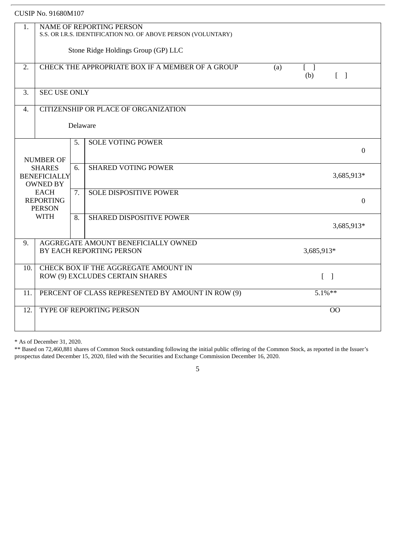| 1.               | <b>NAME OF REPORTING PERSON</b><br>S.S. OR I.R.S. IDENTIFICATION NO. OF ABOVE PERSON (VOLUNTARY)            |          |                                      |  |                  |  |  |
|------------------|-------------------------------------------------------------------------------------------------------------|----------|--------------------------------------|--|------------------|--|--|
|                  | Stone Ridge Holdings Group (GP) LLC                                                                         |          |                                      |  |                  |  |  |
| 2.               | CHECK THE APPROPRIATE BOX IF A MEMBER OF A GROUP<br>(a)<br>t I<br>(b)<br>$[\ ]$                             |          |                                      |  |                  |  |  |
| 3.               | <b>SEC USE ONLY</b>                                                                                         |          |                                      |  |                  |  |  |
| $\overline{4}$ . |                                                                                                             |          | CITIZENSHIP OR PLACE OF ORGANIZATION |  |                  |  |  |
|                  |                                                                                                             | Delaware |                                      |  |                  |  |  |
|                  | <b>NUMBER OF</b>                                                                                            | 5.       | <b>SOLE VOTING POWER</b>             |  | $\boldsymbol{0}$ |  |  |
|                  | <b>SHARES</b><br><b>BENEFICIALLY</b><br><b>OWNED BY</b><br><b>EACH</b><br><b>REPORTING</b><br><b>PERSON</b> |          | <b>SHARED VOTING POWER</b>           |  | 3,685,913*       |  |  |
|                  |                                                                                                             |          | <b>SOLE DISPOSITIVE POWER</b>        |  | $\overline{0}$   |  |  |
|                  | <b>WITH</b>                                                                                                 | 8.       | <b>SHARED DISPOSITIVE POWER</b>      |  | 3,685,913*       |  |  |
| 9.               | AGGREGATE AMOUNT BENEFICIALLY OWNED<br>BY EACH REPORTING PERSON<br>3,685,913*                               |          |                                      |  |                  |  |  |
| 10.              | CHECK BOX IF THE AGGREGATE AMOUNT IN<br>ROW (9) EXCLUDES CERTAIN SHARES<br>$\lceil \; \rceil$               |          |                                      |  |                  |  |  |
| 11.              | PERCENT OF CLASS REPRESENTED BY AMOUNT IN ROW (9)<br>$5.1\%**$                                              |          |                                      |  |                  |  |  |
| 12.              | TYPE OF REPORTING PERSON<br><b>OO</b>                                                                       |          |                                      |  |                  |  |  |
|                  |                                                                                                             |          |                                      |  |                  |  |  |

\* As of December 31, 2020.

\*\* Based on 72,460,881 shares of Common Stock outstanding following the initial public offering of the Common Stock, as reported in the Issuer's prospectus dated December 15, 2020, filed with the Securities and Exchange Commission December 16, 2020.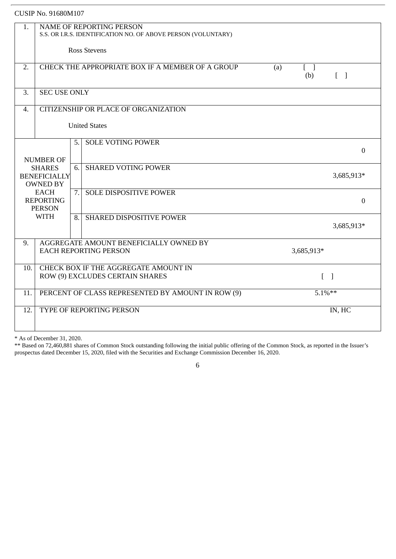|                                                                                             | <b>CUSIP No. 91680M107</b>                                                                                    |                     |                                 |            |  |            |  |  |
|---------------------------------------------------------------------------------------------|---------------------------------------------------------------------------------------------------------------|---------------------|---------------------------------|------------|--|------------|--|--|
| 1.                                                                                          | <b>NAME OF REPORTING PERSON</b><br>S.S. OR I.R.S. IDENTIFICATION NO. OF ABOVE PERSON (VOLUNTARY)              |                     |                                 |            |  |            |  |  |
|                                                                                             |                                                                                                               | <b>Ross Stevens</b> |                                 |            |  |            |  |  |
| 2.                                                                                          | CHECK THE APPROPRIATE BOX IF A MEMBER OF A GROUP<br>(a)<br>$\lceil \; \rceil$<br>(b)<br>$\lceil \cdot \rceil$ |                     |                                 |            |  |            |  |  |
| 3.                                                                                          | <b>SEC USE ONLY</b>                                                                                           |                     |                                 |            |  |            |  |  |
| 4.                                                                                          | CITIZENSHIP OR PLACE OF ORGANIZATION                                                                          |                     |                                 |            |  |            |  |  |
|                                                                                             |                                                                                                               |                     | <b>United States</b>            |            |  |            |  |  |
|                                                                                             | <b>SOLE VOTING POWER</b><br>5.<br>$\mathbf{0}$<br><b>NUMBER OF</b>                                            |                     |                                 |            |  |            |  |  |
| <b>SHARED VOTING POWER</b><br>6.<br><b>SHARES</b><br><b>BENEFICIALLY</b><br><b>OWNED BY</b> |                                                                                                               |                     |                                 | 3,685,913* |  |            |  |  |
|                                                                                             | <b>EACH</b><br><b>REPORTING</b><br><b>PERSON</b>                                                              | 7.                  | <b>SOLE DISPOSITIVE POWER</b>   |            |  | $\Omega$   |  |  |
|                                                                                             | <b>WITH</b>                                                                                                   | 8.                  | <b>SHARED DISPOSITIVE POWER</b> |            |  | 3,685,913* |  |  |
| 9.                                                                                          | AGGREGATE AMOUNT BENEFICIALLY OWNED BY<br><b>EACH REPORTING PERSON</b><br>3,685,913*                          |                     |                                 |            |  |            |  |  |
| 10.                                                                                         | CHECK BOX IF THE AGGREGATE AMOUNT IN<br>ROW (9) EXCLUDES CERTAIN SHARES<br>$\lceil$ $\rceil$                  |                     |                                 |            |  |            |  |  |
| 11.                                                                                         | PERCENT OF CLASS REPRESENTED BY AMOUNT IN ROW (9)<br>$5.1\%**$                                                |                     |                                 |            |  |            |  |  |
| 12.                                                                                         | TYPE OF REPORTING PERSON<br>IN, HC                                                                            |                     |                                 |            |  |            |  |  |

\* As of December 31, 2020.

\*\* Based on 72,460,881 shares of Common Stock outstanding following the initial public offering of the Common Stock, as reported in the Issuer's prospectus dated December 15, 2020, filed with the Securities and Exchange Commission December 16, 2020.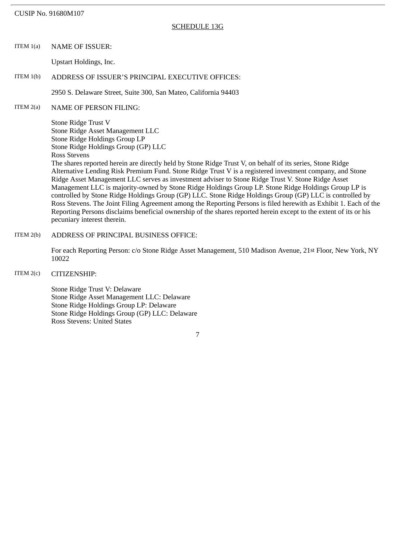#### SCHEDULE 13G

ITEM 1(a) NAME OF ISSUER:

Upstart Holdings, Inc.

### ITEM 1(b) ADDRESS OF ISSUER'S PRINCIPAL EXECUTIVE OFFICES:

2950 S. Delaware Street, Suite 300, San Mateo, California 94403

ITEM 2(a) NAME OF PERSON FILING:

Stone Ridge Trust V Stone Ridge Asset Management LLC Stone Ridge Holdings Group LP Stone Ridge Holdings Group (GP) LLC Ross Stevens

The shares reported herein are directly held by Stone Ridge Trust V, on behalf of its series, Stone Ridge Alternative Lending Risk Premium Fund. Stone Ridge Trust V is a registered investment company, and Stone Ridge Asset Management LLC serves as investment adviser to Stone Ridge Trust V. Stone Ridge Asset Management LLC is majority-owned by Stone Ridge Holdings Group LP. Stone Ridge Holdings Group LP is controlled by Stone Ridge Holdings Group (GP) LLC. Stone Ridge Holdings Group (GP) LLC is controlled by Ross Stevens. The Joint Filing Agreement among the Reporting Persons is filed herewith as Exhibit 1. Each of the Reporting Persons disclaims beneficial ownership of the shares reported herein except to the extent of its or his pecuniary interest therein.

ITEM 2(b) ADDRESS OF PRINCIPAL BUSINESS OFFICE:

For each Reporting Person: c/o Stone Ridge Asset Management, 510 Madison Avenue, 21st Floor, New York, NY 10022

ITEM 2(c) CITIZENSHIP:

Stone Ridge Trust V: Delaware Stone Ridge Asset Management LLC: Delaware Stone Ridge Holdings Group LP: Delaware Stone Ridge Holdings Group (GP) LLC: Delaware Ross Stevens: United States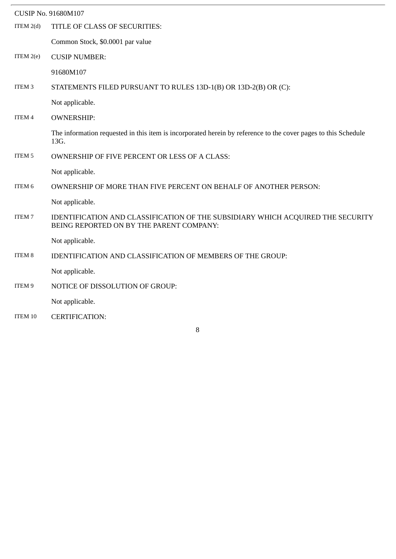|                   | <b>CUSIP No. 91680M107</b>                                                                                                  |
|-------------------|-----------------------------------------------------------------------------------------------------------------------------|
| ITEM $2(d)$       | TITLE OF CLASS OF SECURITIES:                                                                                               |
|                   | Common Stock, \$0.0001 par value                                                                                            |
| ITEM $2(e)$       | <b>CUSIP NUMBER:</b>                                                                                                        |
|                   | 91680M107                                                                                                                   |
| ITEM <sub>3</sub> | STATEMENTS FILED PURSUANT TO RULES 13D-1(B) OR 13D-2(B) OR (C):                                                             |
|                   | Not applicable.                                                                                                             |
| ITEM 4            | <b>OWNERSHIP:</b>                                                                                                           |
|                   | The information requested in this item is incorporated herein by reference to the cover pages to this Schedule<br>13G.      |
| ITEM 5            | <b>OWNERSHIP OF FIVE PERCENT OR LESS OF A CLASS:</b>                                                                        |
|                   | Not applicable.                                                                                                             |
| ITEM 6            | OWNERSHIP OF MORE THAN FIVE PERCENT ON BEHALF OF ANOTHER PERSON:                                                            |
|                   | Not applicable.                                                                                                             |
| ITEM 7            | IDENTIFICATION AND CLASSIFICATION OF THE SUBSIDIARY WHICH ACQUIRED THE SECURITY<br>BEING REPORTED ON BY THE PARENT COMPANY: |
|                   | Not applicable.                                                                                                             |
| ITEM 8            | IDENTIFICATION AND CLASSIFICATION OF MEMBERS OF THE GROUP:                                                                  |
|                   | Not applicable.                                                                                                             |
| ITEM 9            | NOTICE OF DISSOLUTION OF GROUP:                                                                                             |
|                   | Not applicable.                                                                                                             |
| ITEM 10           | <b>CERTIFICATION:</b>                                                                                                       |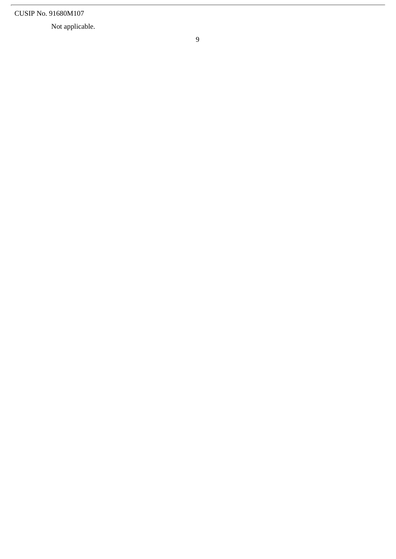Not applicable.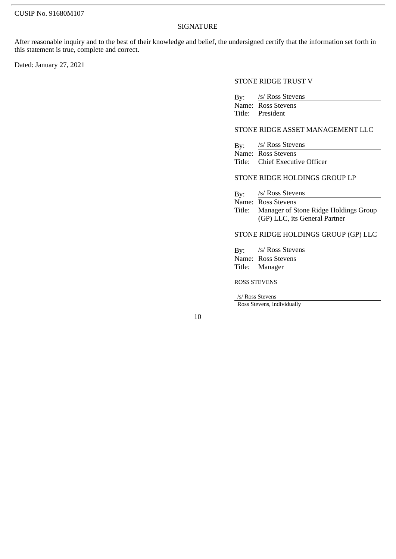#### SIGNATURE

After reasonable inquiry and to the best of their knowledge and belief, the undersigned certify that the information set forth in this statement is true, complete and correct.

Dated: January 27, 2021

#### STONE RIDGE TRUST V

By: /s/ Ross Stevens Name: Ross Stevens<br>Title: President President

## STONE RIDGE ASSET MANAGEMENT LLC

By: /s/ Ross Stevens Name: Ross Stevens Title: Chief Executive Officer

### STONE RIDGE HOLDINGS GROUP LP

By: /s/ Ross Stevens Name: Ross Stevens Title: Manager of Stone Ridge Holdings Group (GP) LLC, its General Partner

## STONE RIDGE HOLDINGS GROUP (GP) LLC

| By: /s/ Ross Stevens |
|----------------------|
| Name: Ross Stevens   |
| Title: Manager       |
|                      |

## ROSS STEVENS

/s/ Ross Stevens

Ross Stevens, individually